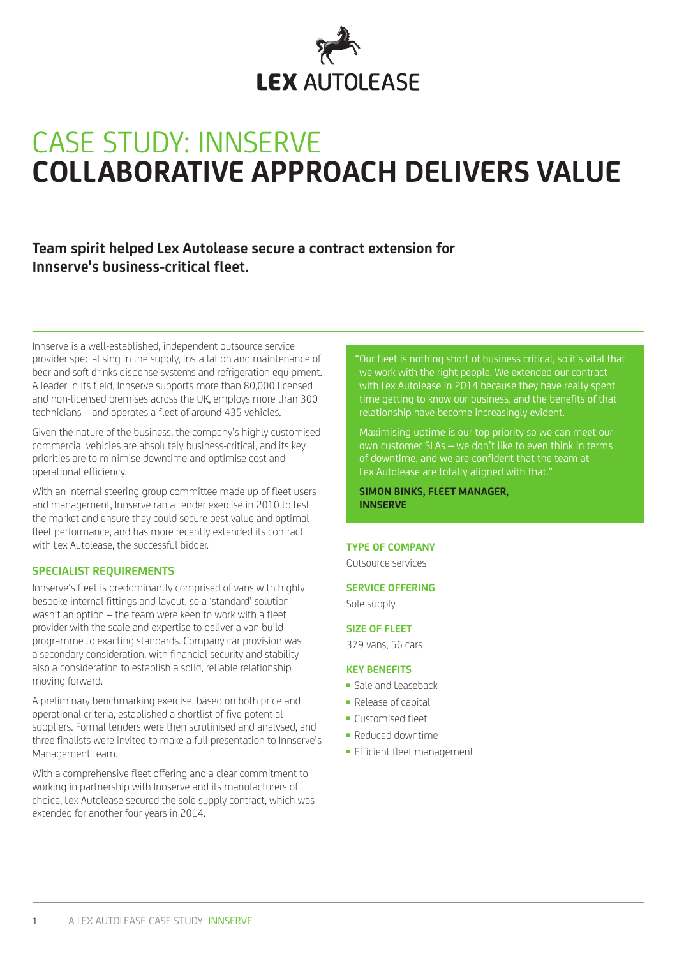

# CASE STUdy: INNSERVE **COLLABORATIVE APPROACH DELIVERS VALUE**

# **Team spirit helped Lex Autolease secure a contract extension for Innserve's business-critical fleet.**

Innserve is a well-established, independent outsource service provider specialising in the supply, installation and maintenance of beer and soft drinks dispense systems and refrigeration equipment. A leader in its field, Innserve supports more than 80,000 licensed and non-licensed premises across the UK, employs more than 300 technicians – and operates a fleet of around 435 vehicles.

Given the nature of the business, the company's highly customised commercial vehicles are absolutely business-critical, and its key priorities are to minimise downtime and optimise cost and operational efficiency.

With an internal steering group committee made up of fleet users and management, Innserve ran a tender exercise in 2010 to test the market and ensure they could secure best value and optimal fleet performance, and has more recently extended its contract with Lex Autolease, the successful bidder.

### **SPECIALIST REQUIREMENTS**

Innserve's fleet is predominantly comprised of vans with highly bespoke internal fittings and layout, so a 'standard' solution wasn't an option – the team were keen to work with a fleet provider with the scale and expertise to deliver a van build programme to exacting standards. Company car provision was a secondary consideration, with financial security and stability also a consideration to establish a solid, reliable relationship moving forward.

A preliminary benchmarking exercise, based on both price and operational criteria, established a shortlist of five potential suppliers. Formal tenders were then scrutinised and analysed, and three finalists were invited to make a full presentation to Innserve's Management team.

With a comprehensive fleet offering and a clear commitment to working in partnership with Innserve and its manufacturers of choice, Lex Autolease secured the sole supply contract, which was extended for another four years in 2014.

"Our fleet is nothing short of business critical, so it's vital that we work with the right people. We extended our contract with Lex Autolease in 2014 because they have really spent time getting to know our business, and the benefits of that relationship have become increasingly evident.

Maximising uptime is our top priority so we can meet our own customer SLAs – we don't like to even think in terms of downtime, and we are confident that the team at Lex Autolease are totally aligned with that.<sup>"</sup>

**SIMON BINKS, FLEET MANAGER, INNSERVE**

#### **TYPE OF COMPANY**

Outsource services

#### **SERVICE OFFERING**

Sole supply

#### **SIZE OF FLEET**

379 vans, 56 cars

#### **KEY BENEFITS**

- Sale and Leaseback
- Release of capital
- Customised fleet
- Reduced downtime
- Efficient fleet management